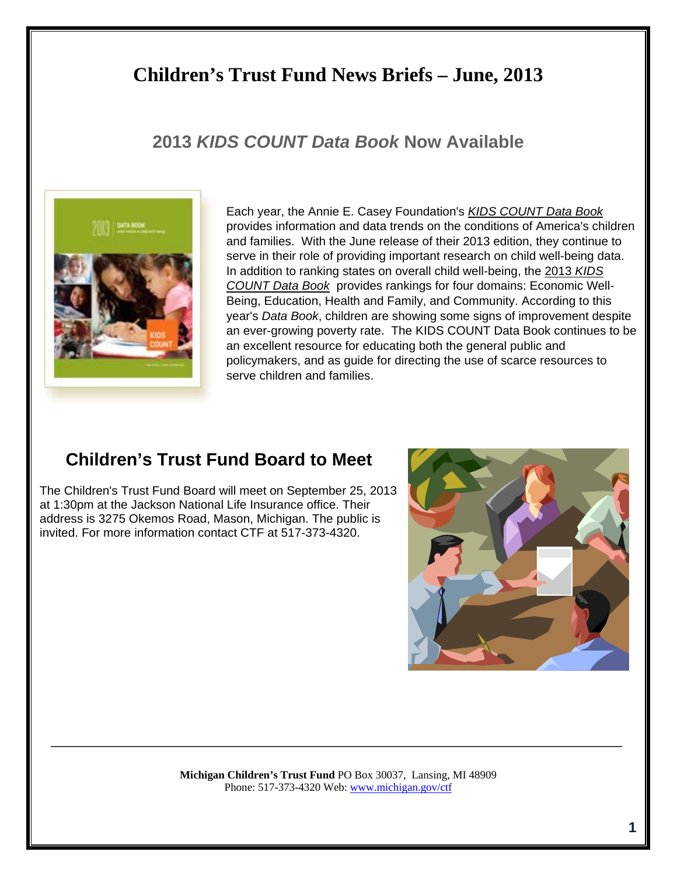# **Children's Trust Fund News Briefs – June, 2013**

## **2013** *KIDS COUNT Data Book* **Now Available**



Each year, the Annie E. Casey Foundation's *KIDS COUNT Data Book*  provides information and data trends on the conditions of America's children and families. With the June release of their 2013 edition, they continue to serve in their role of providing important research on child well-being data. In addition to ranking states on overall child well-being, the 2013 *KIDS COUNT Data Book* provides rankings for four domains: Economic Well-Being, Education, Health and Family, and Community. According to this year's *Data Book*, children are showing some signs of improvement despite an ever-growing poverty rate. The KIDS COUNT Data Book continues to be an excellent resource for educating both the general public and policymakers, and as guide for directing the use of scarce resources to serve children and families.

## **Children's Trust Fund Board to Meet**

The Children's Trust Fund Board will meet on September 25, 2013 at 1:30pm at the Jackson National Life Insurance office. Their address is 3275 Okemos Road, Mason, Michigan. The public is invited. For more information contact CTF at 517-373-4320.



**Michigan Children's Trust Fund** PO Box 30037, Lansing, MI 48909 Phone: 517-373-4320 Web: www.michigan.gov/ctf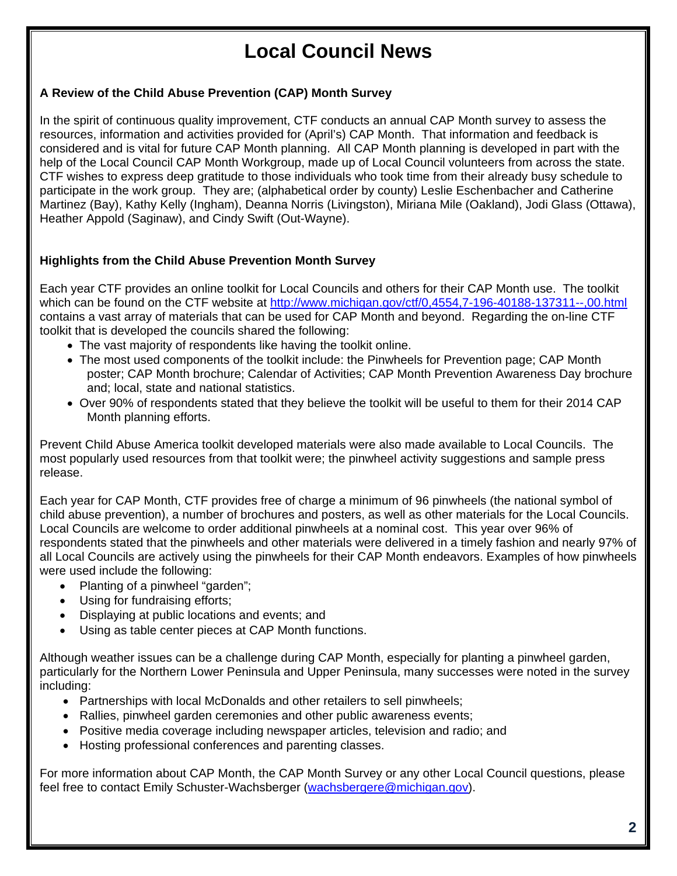# **Local Council News**

### **A Review of the Child Abuse Prevention (CAP) Month Survey**

In the spirit of continuous quality improvement, CTF conducts an annual CAP Month survey to assess the resources, information and activities provided for (April's) CAP Month. That information and feedback is considered and is vital for future CAP Month planning. All CAP Month planning is developed in part with the help of the Local Council CAP Month Workgroup, made up of Local Council volunteers from across the state. CTF wishes to express deep gratitude to those individuals who took time from their already busy schedule to participate in the work group. They are; (alphabetical order by county) Leslie Eschenbacher and Catherine Martinez (Bay), Kathy Kelly (Ingham), Deanna Norris (Livingston), Miriana Mile (Oakland), Jodi Glass (Ottawa), Heather Appold (Saginaw), and Cindy Swift (Out-Wayne).

## **Highlights from the Child Abuse Prevention Month Survey**

Each year CTF provides an online toolkit for Local Councils and others for their CAP Month use. The toolkit which can be found on the CTF website at http://www.michigan.gov/ctf/0,4554,7-196-40188-137311--,00.html contains a vast array of materials that can be used for CAP Month and beyond. Regarding the on-line CTF toolkit that is developed the councils shared the following:

- The vast majority of respondents like having the toolkit online.
- The most used components of the toolkit include: the Pinwheels for Prevention page; CAP Month poster; CAP Month brochure; Calendar of Activities; CAP Month Prevention Awareness Day brochure and; local, state and national statistics.
- Over 90% of respondents stated that they believe the toolkit will be useful to them for their 2014 CAP Month planning efforts.

Prevent Child Abuse America toolkit developed materials were also made available to Local Councils. The most popularly used resources from that toolkit were; the pinwheel activity suggestions and sample press release.

Each year for CAP Month, CTF provides free of charge a minimum of 96 pinwheels (the national symbol of child abuse prevention), a number of brochures and posters, as well as other materials for the Local Councils. Local Councils are welcome to order additional pinwheels at a nominal cost. This year over 96% of respondents stated that the pinwheels and other materials were delivered in a timely fashion and nearly 97% of all Local Councils are actively using the pinwheels for their CAP Month endeavors. Examples of how pinwheels were used include the following:

- Planting of a pinwheel "garden";
- Using for fundraising efforts;
- Displaying at public locations and events; and
- Using as table center pieces at CAP Month functions.

Although weather issues can be a challenge during CAP Month, especially for planting a pinwheel garden, particularly for the Northern Lower Peninsula and Upper Peninsula, many successes were noted in the survey including:

- Partnerships with local McDonalds and other retailers to sell pinwheels;
- Rallies, pinwheel garden ceremonies and other public awareness events;
- Positive media coverage including newspaper articles, television and radio; and
- Hosting professional conferences and parenting classes.

For more information about CAP Month, the CAP Month Survey or any other Local Council questions, please feel free to contact Emily Schuster-Wachsberger (wachsbergere@michigan.gov).